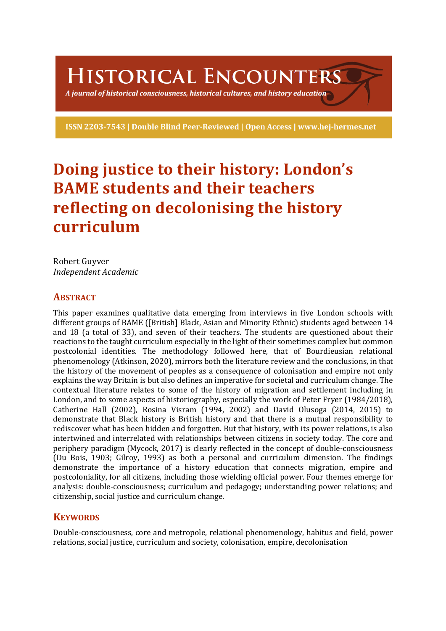HISTORICAL ENCOUNTERS

A journal of historical consciousness, historical cultures, and history education  $\geq$ 

ISSN 2203-7543 | Double Blind Peer-Reviewed | Open Access | www.hej-hermes.net

# **Doing justice to their history: London's BAME** students and their teachers **reflecting on decolonising the history curriculum**

Robert Guvver *Independent Academic*

### **ABSTRACT**

This paper examines qualitative data emerging from interviews in five London schools with different groups of BAME ([British] Black, Asian and Minority Ethnic) students aged between 14 and 18 (a total of 33), and seven of their teachers. The students are questioned about their reactions to the taught curriculum especially in the light of their sometimes complex but common postcolonial identities. The methodology followed here, that of Bourdieusian relational phenomenology (Atkinson, 2020), mirrors both the literature review and the conclusions, in that the history of the movement of peoples as a consequence of colonisation and empire not only explains the way Britain is but also defines an imperative for societal and curriculum change. The contextual literature relates to some of the history of migration and settlement including in London, and to some aspects of historiography, especially the work of Peter Fryer (1984/2018), Catherine Hall  $(2002)$ , Rosina Visram  $(1994, 2002)$  and David Olusoga  $(2014, 2015)$  to demonstrate that Black history is British history and that there is a mutual responsibility to rediscover what has been hidden and forgotten. But that history, with its power relations, is also intertwined and interrelated with relationships between citizens in society today. The core and periphery paradigm (Mycock, 2017) is clearly reflected in the concept of double-consciousness (Du Bois, 1903; Gilroy, 1993) as both a personal and curriculum dimension. The findings demonstrate the importance of a history education that connects migration, empire and postcoloniality, for all citizens, including those wielding official power. Four themes emerge for analysis: double-consciousness; curriculum and pedagogy; understanding power relations; and citizenship, social justice and curriculum change.

### **KEYWORDS**

Double-consciousness, core and metropole, relational phenomenology, habitus and field, power relations, social justice, curriculum and society, colonisation, empire, decolonisation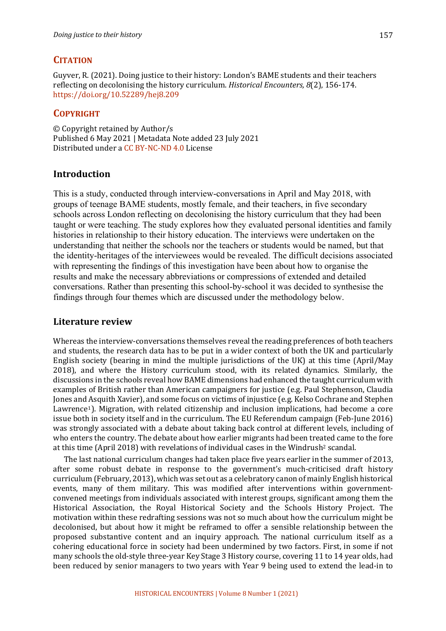### **CITATION**

Guyver, R. (2021). Doing justice to their history: London's BAME students and their teachers reflecting on decolonising the history curriculum. *Historical Encounters, 8*(2), 156-174. https://doi.org/10.52289/hej8.209

### **COPYRIGHT**

© Copyright retained by Author/s Published 6 May 2021 | Metadata Note added 23 July 2021 Distributed under a CC BY-NC-ND 4.0 License

### **Introduction**

This is a study, conducted through interview-conversations in April and May 2018, with groups of teenage BAME students, mostly female, and their teachers, in five secondary schools across London reflecting on decolonising the history curriculum that they had been taught or were teaching. The study explores how they evaluated personal identities and family histories in relationship to their history education. The interviews were undertaken on the understanding that neither the schools nor the teachers or students would be named, but that the identity-heritages of the interviewees would be revealed. The difficult decisions associated with representing the findings of this investigation have been about how to organise the results and make the necessary abbreviations or compressions of extended and detailed conversations. Rather than presenting this school-by-school it was decided to synthesise the findings through four themes which are discussed under the methodology below.

### **Literature review**

Whereas the interview-conversations themselves reveal the reading preferences of both teachers and students, the research data has to be put in a wider context of both the UK and particularly English society (bearing in mind the multiple jurisdictions of the UK) at this time  $(Apiril/May)$ 2018), and where the History curriculum stood, with its related dynamics. Similarly, the discussions in the schools reveal how BAME dimensions had enhanced the taught curriculum with examples of British rather than American campaigners for justice (e.g. Paul Stephenson, Claudia Jones and Asquith Xavier), and some focus on victims of injustice (e.g. Kelso Cochrane and Stephen Lawrence<sup>1</sup>). Migration, with related citizenship and inclusion implications, had become a core issue both in society itself and in the curriculum. The EU Referendum campaign (Feb-June 2016) was strongly associated with a debate about taking back control at different levels, including of who enters the country. The debate about how earlier migrants had been treated came to the fore at this time  $(Apri 2018)$  with revelations of individual cases in the Windrush<sup>2</sup> scandal.

The last national curriculum changes had taken place five years earlier in the summer of 2013, after some robust debate in response to the government's much-criticised draft history curriculum (February, 2013), which was set out as a celebratory canon of mainly English historical events, many of them military. This was modified after interventions within governmentconvened meetings from individuals associated with interest groups, significant among them the Historical Association, the Royal Historical Society and the Schools History Project. The motivation within these redrafting sessions was not so much about how the curriculum might be decolonised, but about how it might be reframed to offer a sensible relationship between the proposed substantive content and an inquiry approach. The national curriculum itself as a cohering educational force in society had been undermined by two factors. First, in some if not many schools the old-style three-year Key Stage 3 History course, covering 11 to 14 year olds, had been reduced by senior managers to two years with Year 9 being used to extend the lead-in to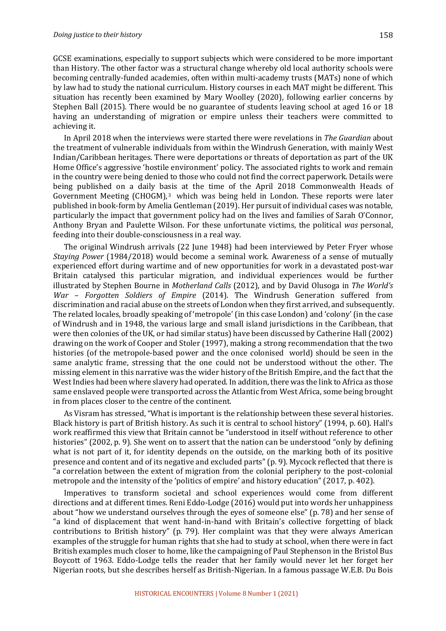GCSE examinations, especially to support subjects which were considered to be more important than History. The other factor was a structural change whereby old local authority schools were becoming centrally-funded academies, often within multi-academy trusts (MATs) none of which by law had to study the national curriculum. History courses in each MAT might be different. This situation has recently been examined by Mary Woolley (2020), following earlier concerns by Stephen Ball (2015). There would be no guarantee of students leaving school at aged 16 or 18 having an understanding of migration or empire unless their teachers were committed to achieving it.

In April 2018 when the interviews were started there were revelations in *The Guardian* about the treatment of vulnerable individuals from within the Windrush Generation, with mainly West Indian/Caribbean heritages. There were deportations or threats of deportation as part of the UK Home Office's aggressive 'hostile environment' policy. The associated rights to work and remain in the country were being denied to those who could not find the correct paperwork. Details were being published on a daily basis at the time of the April 2018 Commonwealth Heads of Government Meeting  $(CHOGM)<sup>3</sup>$  which was being held in London. These reports were later published in book-form by Amelia Gentleman (2019). Her pursuit of individual cases was notable, particularly the impact that government policy had on the lives and families of Sarah O'Connor, Anthony Bryan and Paulette Wilson. For these unfortunate victims, the political was personal, feeding into their double-consciousness in a real way.

The original Windrush arrivals (22 June 1948) had been interviewed by Peter Fryer whose *Staying Power* (1984/2018) would become a seminal work. Awareness of a sense of mutually experienced effort during wartime and of new opportunities for work in a devastated post-war Britain catalysed this particular migration, and individual experiences would be further illustrated by Stephen Bourne in *Motherland Calls* (2012), and by David Olusoga in *The World's War – Forgotten Soldiers of Empire* (2014). The Windrush Generation suffered from discrimination and racial abuse on the streets of London when they first arrived, and subsequently. The related locales, broadly speaking of 'metropole' (in this case London) and 'colony' (in the case of Windrush and in 1948, the various large and small island jurisdictions in the Caribbean, that were then colonies of the UK, or had similar status) have been discussed by Catherine Hall (2002) drawing on the work of Cooper and Stoler (1997), making a strong recommendation that the two histories (of the metropole-based power and the once colonised world) should be seen in the same analytic frame, stressing that the one could not be understood without the other. The missing element in this narrative was the wider history of the British Empire, and the fact that the West Indies had been where slavery had operated. In addition, there was the link to Africa as those same enslaved people were transported across the Atlantic from West Africa, some being brought in from places closer to the centre of the continent.

As Visram has stressed, "What is important is the relationship between these several histories. Black history is part of British history. As such it is central to school history" (1994, p. 60). Hall's work reaffirmed this view that Britain cannot be "understood in itself without reference to other histories" (2002, p. 9). She went on to assert that the nation can be understood "only by defining what is not part of it, for identity depends on the outside, on the marking both of its positive presence and content and of its negative and excluded parts" (p. 9). Mycock reflected that there is "a correlation between the extent of migration from the colonial periphery to the post-colonial metropole and the intensity of the 'politics of empire' and history education" (2017, p. 402).

Imperatives to transform societal and school experiences would come from different directions and at different times. Reni Eddo-Lodge (2016) would put into words her unhappiness about "how we understand ourselves through the eyes of someone else" (p. 78) and her sense of "a kind of displacement that went hand-in-hand with Britain's collective forgetting of black contributions to British history" (p. 79). Her complaint was that they were always American examples of the struggle for human rights that she had to study at school, when there were in fact British examples much closer to home, like the campaigning of Paul Stephenson in the Bristol Bus Boycott of 1963. Eddo-Lodge tells the reader that her family would never let her forget her Nigerian roots, but she describes herself as British-Nigerian. In a famous passage W.E.B. Du Bois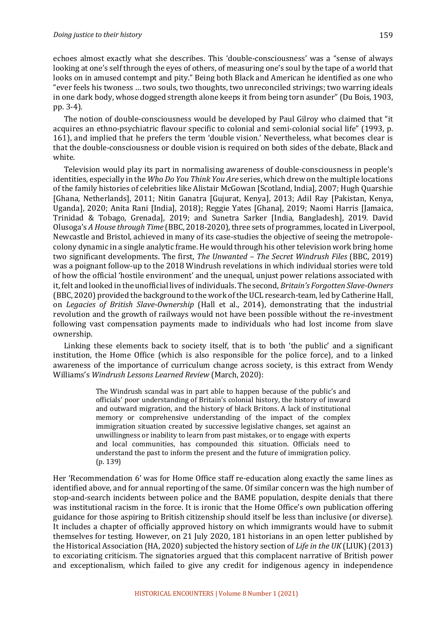echoes almost exactly what she describes. This 'double-consciousness' was a "sense of always looking at one's self through the eyes of others, of measuring one's soul by the tape of a world that looks on in amused contempt and pity." Being both Black and American he identified as one who "ever feels his twoness ... two souls, two thoughts, two unreconciled strivings; two warring ideals in one dark body, whose dogged strength alone keeps it from being torn asunder" (Du Bois, 1903, pp. 3-4).

The notion of double-consciousness would be developed by Paul Gilroy who claimed that "it acquires an ethno-psychiatric flavour specific to colonial and semi-colonial social life" (1993, p. 161), and implied that he prefers the term 'double vision.' Nevertheless, what becomes clear is that the double-consciousness or double vision is required on both sides of the debate, Black and white. 

Television would play its part in normalising awareness of double-consciousness in people's identities, especially in the *Who Do You Think You Are* series, which drew on the multiple locations of the family histories of celebrities like Alistair McGowan [Scotland, India], 2007; Hugh Quarshie [Ghana, Netherlands], 2011; Nitin Ganatra [Gujurat, Kenya], 2013; Adil Ray [Pakistan, Kenya, Uganda], 2020; Anita Rani [India], 2018); Reggie Yates [Ghana], 2019; Naomi Harris [Jamaica, Trinidad & Tobago, Grenada], 2019; and Sunetra Sarker [India, Bangladesh], 2019. David Olusoga's *A* House through Time (BBC, 2018-2020), three sets of programmes, located in Liverpool, Newcastle and Bristol, achieved in many of its case-studies the objective of seeing the metropolecolony dynamic in a single analytic frame. He would through his other television work bring home two significant developments. The first, *The Unwanted – The Secret Windrush Files* (BBC, 2019) was a poignant follow-up to the 2018 Windrush revelations in which individual stories were told of how the official 'hostile environment' and the unequal, unjust power relations associated with it, felt and looked in the unofficial lives of individuals. The second, *Britain's Forgotten Slave-Owners* (BBC, 2020) provided the background to the work of the UCL research-team, led by Catherine Hall, on *Legacies of British Slave-Ownership* (Hall et al., 2014), demonstrating that the industrial revolution and the growth of railways would not have been possible without the re-investment following vast compensation payments made to individuals who had lost income from slave ownership. 

Linking these elements back to society itself, that is to both 'the public' and a significant institution, the Home Office (which is also responsible for the police force), and to a linked awareness of the importance of curriculum change across society, is this extract from Wendy Williams's Windrush Lessons Learned Review (March, 2020):

> The Windrush scandal was in part able to happen because of the public's and officials' poor understanding of Britain's colonial history, the history of inward and outward migration, and the history of black Britons. A lack of institutional memory or comprehensive understanding of the impact of the complex immigration situation created by successive legislative changes, set against an unwillingness or inability to learn from past mistakes, or to engage with experts and local communities, has compounded this situation. Officials need to understand the past to inform the present and the future of immigration policy.  $(p. 139)$

Her 'Recommendation 6' was for Home Office staff re-education along exactly the same lines as identified above, and for annual reporting of the same. Of similar concern was the high number of stop-and-search incidents between police and the BAME population, despite denials that there was institutional racism in the force. It is ironic that the Home Office's own publication offering guidance for those aspiring to British citizenship should itself be less than inclusive (or diverse). It includes a chapter of officially approved history on which immigrants would have to submit themselves for testing. However, on 21 July 2020, 181 historians in an open letter published by the Historical Association (HA, 2020) subjected the history section of *Life in the UK* (LIUK) (2013) to excoriating criticism. The signatories argued that this complacent narrative of British power and exceptionalism, which failed to give any credit for indigenous agency in independence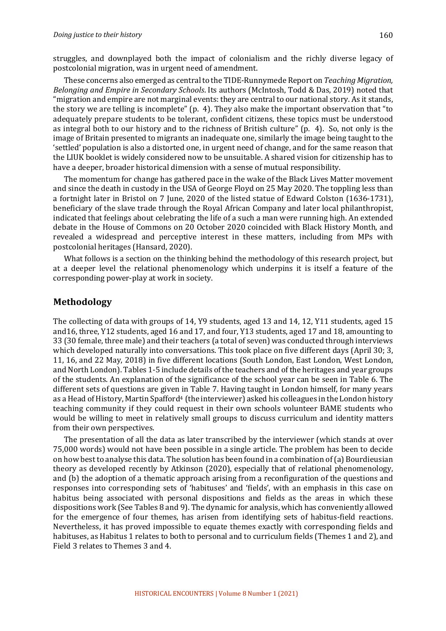struggles, and downplayed both the impact of colonialism and the richly diverse legacy of postcolonial migration, was in urgent need of amendment.

These concerns also emerged as central to the TIDE-Runnymede Report on *Teaching Migration*, *Belonging and Empire in Secondary Schools*. Its authors (McIntosh, Todd & Das, 2019) noted that "migration and empire are not marginal events: they are central to our national story. As it stands, the story we are telling is incomplete"  $(p. 4)$ . They also make the important observation that "to adequately prepare students to be tolerant, confident citizens, these topics must be understood as integral both to our history and to the richness of British culture" (p. 4). So, not only is the image of Britain presented to migrants an inadequate one, similarly the image being taught to the 'settled' population is also a distorted one, in urgent need of change, and for the same reason that the LIUK booklet is widely considered now to be unsuitable. A shared vision for citizenship has to have a deeper, broader historical dimension with a sense of mutual responsibility.

The momentum for change has gathered pace in the wake of the Black Lives Matter movement and since the death in custody in the USA of George Floyd on 25 May 2020. The toppling less than a fortnight later in Bristol on 7 June, 2020 of the listed statue of Edward Colston (1636-1731), beneficiary of the slave trade through the Royal African Company and later local philanthropist, indicated that feelings about celebrating the life of a such a man were running high. An extended debate in the House of Commons on 20 October 2020 coincided with Black History Month, and revealed a widespread and perceptive interest in these matters, including from MPs with postcolonial heritages (Hansard, 2020).

What follows is a section on the thinking behind the methodology of this research project, but at a deeper level the relational phenomenology which underpins it is itself a feature of the corresponding power-play at work in society.

#### **Methodology**

The collecting of data with groups of 14, Y9 students, aged 13 and 14, 12, Y11 students, aged 15 and16, three, Y12 students, aged 16 and 17, and four, Y13 students, aged 17 and 18, amounting to 33 (30 female, three male) and their teachers (a total of seven) was conducted through interviews which developed naturally into conversations. This took place on five different days (April 30; 3, 11, 16, and 22 May, 2018) in five different locations (South London, East London, West London, and North London). Tables 1-5 include details of the teachers and of the heritages and year groups of the students. An explanation of the significance of the school year can be seen in Table 6. The different sets of questions are given in Table 7. Having taught in London himself, for many years as a Head of History, Martin Spafford<sup>4</sup> (the interviewer) asked his colleagues in the London history teaching community if they could request in their own schools volunteer BAME students who would be willing to meet in relatively small groups to discuss curriculum and identity matters from their own perspectives.

The presentation of all the data as later transcribed by the interviewer (which stands at over 75,000 words) would not have been possible in a single article. The problem has been to decide on how best to analyse this data. The solution has been found in a combination of (a) Bourdieusian theory as developed recently by Atkinson (2020), especially that of relational phenomenology, and (b) the adoption of a thematic approach arising from a reconfiguration of the questions and responses into corresponding sets of 'habituses' and 'fields', with an emphasis in this case on habitus being associated with personal dispositions and fields as the areas in which these dispositions work (See Tables 8 and 9). The dynamic for analysis, which has conveniently allowed for the emergence of four themes, has arisen from identifying sets of habitus-field reactions. Nevertheless, it has proved impossible to equate themes exactly with corresponding fields and habituses, as Habitus 1 relates to both to personal and to curriculum fields (Themes 1 and 2), and Field 3 relates to Themes 3 and 4.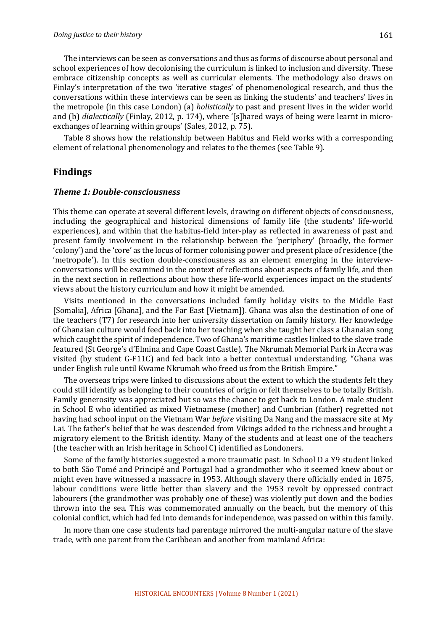The interviews can be seen as conversations and thus as forms of discourse about personal and school experiences of how decolonising the curriculum is linked to inclusion and diversity. These embrace citizenship concepts as well as curricular elements. The methodology also draws on Finlay's interpretation of the two 'iterative stages' of phenomenological research, and thus the conversations within these interviews can be seen as linking the students' and teachers' lives in the metropole (in this case London) (a) *holistically* to past and present lives in the wider world and (b) *dialectically* (Finlay, 2012, p. 174), where '[s]hared ways of being were learnt in microexchanges of learning within groups' (Sales, 2012, p. 75).

Table 8 shows how the relationship between Habitus and Field works with a corresponding element of relational phenomenology and relates to the themes (see Table 9).

### **Findings**

#### *Theme 1: Double-consciousness*

This theme can operate at several different levels, drawing on different objects of consciousness, including the geographical and historical dimensions of family life (the students' life-world experiences), and within that the habitus-field inter-play as reflected in awareness of past and present family involvement in the relationship between the 'periphery' (broadly, the former 'colony') and the 'core' as the locus of former colonising power and present place of residence (the 'metropole'). In this section double-consciousness as an element emerging in the interviewconversations will be examined in the context of reflections about aspects of family life, and then in the next section in reflections about how these life-world experiences impact on the students' views about the history curriculum and how it might be amended.

Visits mentioned in the conversations included family holiday visits to the Middle East [Somalia], Africa [Ghana], and the Far East [Vietnam]). Ghana was also the destination of one of the teachers (T7) for research into her university dissertation on family history. Her knowledge of Ghanaian culture would feed back into her teaching when she taught her class a Ghanaian song which caught the spirit of independence. Two of Ghana's maritime castles linked to the slave trade featured (St George's d'Elmina and Cape Coast Castle). The Nkrumah Memorial Park in Accra was visited (by student G-F11C) and fed back into a better contextual understanding. "Ghana was under English rule until Kwame Nkrumah who freed us from the British Empire."

The overseas trips were linked to discussions about the extent to which the students felt they could still identify as belonging to their countries of origin or felt themselves to be totally British. Family generosity was appreciated but so was the chance to get back to London. A male student in School E who identified as mixed Vietnamese (mother) and Cumbrian (father) regretted not having had school input on the Vietnam War *before* visiting Da Nang and the massacre site at My Lai. The father's belief that he was descended from Vikings added to the richness and brought a migratory element to the British identity. Many of the students and at least one of the teachers (the teacher with an Irish heritage in School C) identified as Londoners.

Some of the family histories suggested a more traumatic past. In School D a Y9 student linked to both São Tomé and Principé and Portugal had a grandmother who it seemed knew about or might even have witnessed a massacre in 1953. Although slavery there officially ended in 1875, labour conditions were little better than slavery and the 1953 revolt by oppressed contract labourers (the grandmother was probably one of these) was violently put down and the bodies thrown into the sea. This was commemorated annually on the beach, but the memory of this colonial conflict, which had fed into demands for independence, was passed on within this family.

In more than one case students had parentage mirrored the multi-angular nature of the slave trade, with one parent from the Caribbean and another from mainland Africa: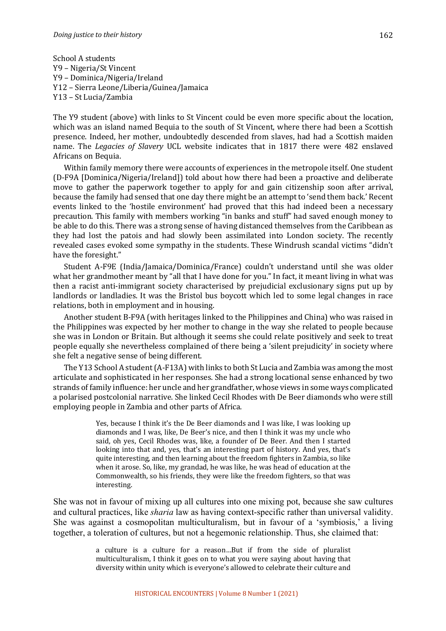School A students Y9 – Nigeria/St Vincent Y9 – Dominica/Nigeria/Ireland Y12 - Sierra Leone/Liberia/Guinea/Jamaica Y13 - St Lucia/Zambia

The Y9 student (above) with links to St Vincent could be even more specific about the location, which was an island named Bequia to the south of St Vincent, where there had been a Scottish presence. Indeed, her mother, undoubtedly descended from slaves, had had a Scottish maiden name. The Legacies of Slavery UCL website indicates that in 1817 there were 482 enslaved Africans on Bequia.

Within family memory there were accounts of experiences in the metropole itself. One student (D-F9A [Dominica/Nigeria/Ireland]) told about how there had been a proactive and deliberate move to gather the paperwork together to apply for and gain citizenship soon after arrival, because the family had sensed that one day there might be an attempt to 'send them back.' Recent events linked to the 'hostile environment' had proved that this had indeed been a necessary precaution. This family with members working "in banks and stuff" had saved enough money to be able to do this. There was a strong sense of having distanced themselves from the Caribbean as they had lost the patois and had slowly been assimilated into London society. The recently revealed cases evoked some sympathy in the students. These Windrush scandal victims "didn't have the foresight."

Student A-F9E (India/Jamaica/Dominica/France) couldn't understand until she was older what her grandmother meant by "all that I have done for you." In fact, it meant living in what was then a racist anti-immigrant society characterised by prejudicial exclusionary signs put up by landlords or landladies. It was the Bristol bus boycott which led to some legal changes in race relations, both in employment and in housing.

Another student B-F9A (with heritages linked to the Philippines and China) who was raised in the Philippines was expected by her mother to change in the way she related to people because she was in London or Britain. But although it seems she could relate positively and seek to treat people equally she nevertheless complained of there being a 'silent prejudicity' in society where she felt a negative sense of being different.

The Y13 School A student (A-F13A) with links to both St Lucia and Zambia was among the most articulate and sophisticated in her responses. She had a strong locational sense enhanced by two strands of family influence: her uncle and her grandfather, whose views in some ways complicated a polarised postcolonial narrative. She linked Cecil Rhodes with De Beer diamonds who were still employing people in Zambia and other parts of Africa.

> Yes, because I think it's the De Beer diamonds and I was like. I was looking up diamonds and I was, like, De Beer's nice, and then I think it was my uncle who said, oh yes, Cecil Rhodes was, like, a founder of De Beer. And then I started looking into that and, yes, that's an interesting part of history. And yes, that's quite interesting, and then learning about the freedom fighters in Zambia, so like when it arose. So, like, my grandad, he was like, he was head of education at the Commonwealth, so his friends, they were like the freedom fighters, so that was interesting.

She was not in favour of mixing up all cultures into one mixing pot, because she saw cultures and cultural practices, like *sharia* law as having context-specific rather than universal validity. She was against a cosmopolitan multiculturalism, but in favour of a 'symbiosis,' a living together, a toleration of cultures, but not a hegemonic relationship. Thus, she claimed that:

> a culture is a culture for a reason...But if from the side of pluralist multiculturalism, I think it goes on to what you were saying about having that diversity within unity which is everyone's allowed to celebrate their culture and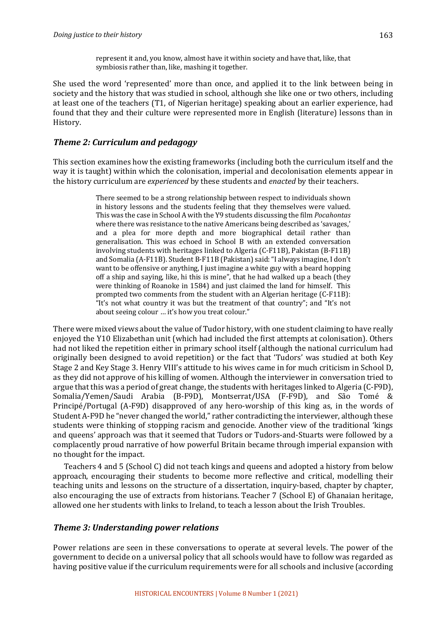represent it and, you know, almost have it within society and have that, like, that symbiosis rather than, like, mashing it together.

She used the word 'represented' more than once, and applied it to the link between being in society and the history that was studied in school, although she like one or two others, including at least one of the teachers (T1, of Nigerian heritage) speaking about an earlier experience, had found that they and their culture were represented more in English (literature) lessons than in History. 

### *Theme 2: Curriculum and pedagogy*

This section examines how the existing frameworks (including both the curriculum itself and the way it is taught) within which the colonisation, imperial and decolonisation elements appear in the history curriculum are *experienced* by these students and *enacted* by their teachers.

> There seemed to be a strong relationship between respect to individuals shown in history lessons and the students feeling that they themselves were valued. This was the case in School A with the Y9 students discussing the film *Pocahontas* where there was resistance to the native Americans being described as 'savages,' and a plea for more depth and more biographical detail rather than generalisation. This was echoed in School B with an extended conversation involving students with heritages linked to Algeria (C-F11B), Pakistan (B-F11B) and Somalia (A-F11B). Student B-F11B (Pakistan) said: "I always imagine, I don't want to be offensive or anything, I just imagine a white guy with a beard hopping off a ship and saying, like, hi this is mine", that he had walked up a beach (they were thinking of Roanoke in 1584) and just claimed the land for himself. This prompted two comments from the student with an Algerian heritage (C-F11B): "It's not what country it was but the treatment of that country"; and "It's not about seeing colour ... it's how you treat colour."

There were mixed views about the value of Tudor history, with one student claiming to have really enjoyed the Y10 Elizabethan unit (which had included the first attempts at colonisation). Others had not liked the repetition either in primary school itself (although the national curriculum had originally been designed to avoid repetition) or the fact that 'Tudors' was studied at both Key Stage 2 and Key Stage 3. Henry VIII's attitude to his wives came in for much criticism in School D, as they did not approve of his killing of women. Although the interviewer in conversation tried to argue that this was a period of great change, the students with heritages linked to Algeria (C-F9D), Somalia/Yemen/Saudi Arabia (B-F9D), Montserrat/USA (F-F9D), and São Tomé & Principé/Portugal  $(A-F9D)$  disapproved of any hero-worship of this king as, in the words of Student A-F9D he "never changed the world," rather contradicting the interviewer, although these students were thinking of stopping racism and genocide. Another view of the traditional 'kings and queens' approach was that it seemed that Tudors or Tudors-and-Stuarts were followed by a complacently proud narrative of how powerful Britain became through imperial expansion with no thought for the impact.

Teachers 4 and 5 (School C) did not teach kings and queens and adopted a history from below approach, encouraging their students to become more reflective and critical, modelling their teaching units and lessons on the structure of a dissertation, inquiry-based, chapter by chapter, also encouraging the use of extracts from historians. Teacher  $7$  (School E) of Ghanaian heritage, allowed one her students with links to Ireland, to teach a lesson about the Irish Troubles.

### **Theme 3: Understanding power relations**

Power relations are seen in these conversations to operate at several levels. The power of the government to decide on a universal policy that all schools would have to follow was regarded as having positive value if the curriculum requirements were for all schools and inclusive (according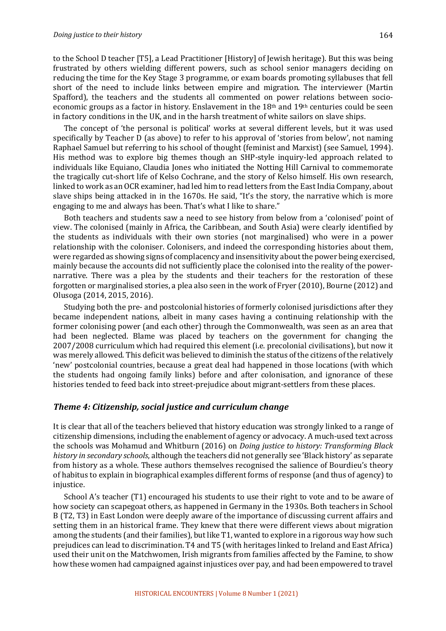to the School D teacher [T5], a Lead Practitioner [History] of Jewish heritage). But this was being frustrated by others wielding different powers, such as school senior managers deciding on reducing the time for the Key Stage 3 programme, or exam boards promoting syllabuses that fell short of the need to include links between empire and migration. The interviewer (Martin Spafford), the teachers and the students all commented on power relations between socioeconomic groups as a factor in history. Enslavement in the  $18<sup>th</sup>$  and  $19<sup>th</sup>$  centuries could be seen in factory conditions in the UK, and in the harsh treatment of white sailors on slave ships.

The concept of 'the personal is political' works at several different levels, but it was used specifically by Teacher D (as above) to refer to his approval of 'stories from below', not naming Raphael Samuel but referring to his school of thought (feminist and Marxist) (see Samuel, 1994). His method was to explore big themes though an SHP-style inquiry-led approach related to individuals like Equiano, Claudia Jones who initiated the Notting Hill Carnival to commemorate the tragically cut-short life of Kelso Cochrane, and the story of Kelso himself. His own research, linked to work as an OCR examiner, had led him to read letters from the East India Company, about slave ships being attacked in in the  $1670s$ . He said, "It's the story, the narrative which is more engaging to me and always has been. That's what I like to share."

Both teachers and students saw a need to see history from below from a 'colonised' point of view. The colonised (mainly in Africa, the Caribbean, and South Asia) were clearly identified by the students as individuals with their own stories (not marginalised) who were in a power relationship with the coloniser. Colonisers, and indeed the corresponding histories about them, were regarded as showing signs of complacency and insensitivity about the power being exercised, mainly because the accounts did not sufficiently place the colonised into the reality of the powernarrative. There was a plea by the students and their teachers for the restoration of these forgotten or marginalised stories, a plea also seen in the work of Fryer (2010), Bourne (2012) and Olusoga (2014, 2015, 2016).

Studying both the pre- and postcolonial histories of formerly colonised jurisdictions after they became independent nations, albeit in many cases having a continuing relationship with the former colonising power (and each other) through the Commonwealth, was seen as an area that had been neglected. Blame was placed by teachers on the government for changing the 2007/2008 curriculum which had required this element (i.e. precolonial civilisations), but now it was merely allowed. This deficit was believed to diminish the status of the citizens of the relatively 'new' postcolonial countries, because a great deal had happened in those locations (with which the students had ongoing family links) before and after colonisation, and ignorance of these histories tended to feed back into street-prejudice about migrant-settlers from these places.

#### *Theme 4: Citizenship, social justice and curriculum change*

It is clear that all of the teachers believed that history education was strongly linked to a range of citizenship dimensions, including the enablement of agency or advocacy. A much-used text across the schools was Mohamud and Whitburn (2016) on *Doing justice to history: Transforming Black history in secondary schools*, although the teachers did not generally see 'Black history' as separate from history as a whole. These authors themselves recognised the salience of Bourdieu's theory of habitus to explain in biographical examples different forms of response (and thus of agency) to injustice. 

School A's teacher (T1) encouraged his students to use their right to vote and to be aware of how society can scapegoat others, as happened in Germany in the 1930s. Both teachers in School B (T2, T3) in East London were deeply aware of the importance of discussing current affairs and setting them in an historical frame. They knew that there were different views about migration among the students (and their families), but like T1, wanted to explore in a rigorous way how such prejudices can lead to discrimination. T4 and T5 (with heritages linked to Ireland and East Africa) used their unit on the Matchwomen, Irish migrants from families affected by the Famine, to show how these women had campaigned against injustices over pay, and had been empowered to travel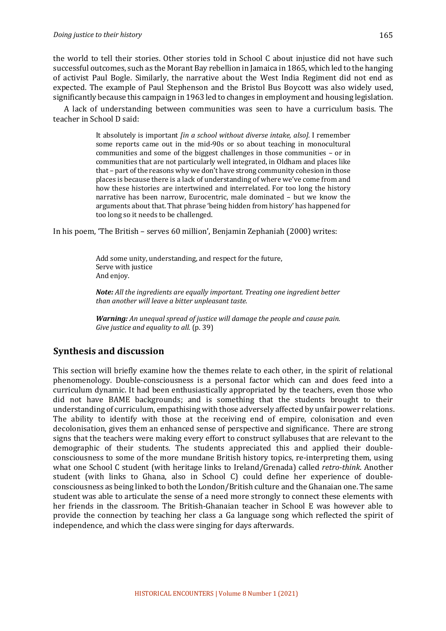#### *Doing justice to their history*

the world to tell their stories. Other stories told in School C about injustice did not have such successful outcomes, such as the Morant Bay rebellion in Jamaica in 1865, which led to the hanging of activist Paul Bogle. Similarly, the narrative about the West India Regiment did not end as expected. The example of Paul Stephenson and the Bristol Bus Boycott was also widely used, significantly because this campaign in 1963 led to changes in employment and housing legislation.

A lack of understanding between communities was seen to have a curriculum basis. The teacher in School D said:

> It absolutely is important *[in a school without diverse intake, also]*. I remember some reports came out in the mid-90s or so about teaching in monocultural communities and some of the biggest challenges in those communities – or in communities that are not particularly well integrated, in Oldham and places like that - part of the reasons why we don't have strong community cohesion in those places is because there is a lack of understanding of where we've come from and how these histories are intertwined and interrelated. For too long the history narrative has been narrow, Eurocentric, male dominated - but we know the arguments about that. That phrase 'being hidden from history' has happened for too long so it needs to be challenged.

In his poem, 'The British – serves  $60$  million', Benjamin Zephaniah  $(2000)$  writes:

Add some unity, understanding, and respect for the future, Serve with justice And enjoy.

*Note: All the ingredients are equally important. Treating one ingredient better than another will leave a bitter unpleasant taste.*

*Warning: An unequal spread of justice will damage the people and cause pain.* Give justice and equality to all. (p. 39)

### **Synthesis and discussion**

This section will briefly examine how the themes relate to each other, in the spirit of relational phenomenology. Double-consciousness is a personal factor which can and does feed into a curriculum dynamic. It had been enthusiastically appropriated by the teachers, even those who did not have BAME backgrounds; and is something that the students brought to their understanding of curriculum, empathising with those adversely affected by unfair power relations. The ability to identify with those at the receiving end of empire, colonisation and even decolonisation, gives them an enhanced sense of perspective and significance. There are strong signs that the teachers were making every effort to construct syllabuses that are relevant to the demographic of their students. The students appreciated this and applied their doubleconsciousness to some of the more mundane British history topics, re-interpreting them, using what one School C student (with heritage links to Ireland/Grenada) called *retro-think*. Another student (with links to Ghana, also in School C) could define her experience of doubleconsciousness as being linked to both the London/British culture and the Ghanaian one. The same student was able to articulate the sense of a need more strongly to connect these elements with her friends in the classroom. The British-Ghanaian teacher in School E was however able to provide the connection by teaching her class a Ga language song which reflected the spirit of independence, and which the class were singing for days afterwards.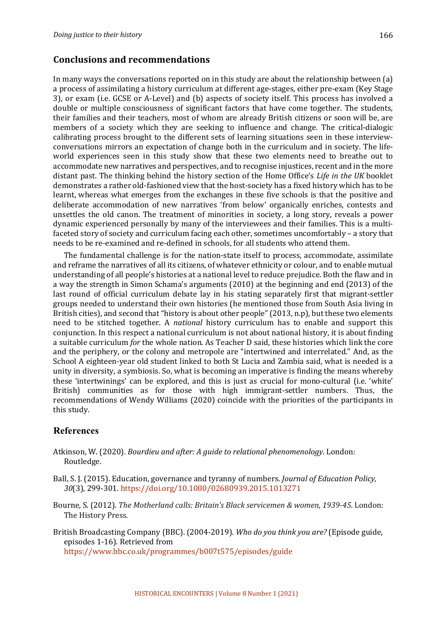### **Conclusions and recommendations**

In many ways the conversations reported on in this study are about the relationship between  $(a)$ a process of assimilating a history curriculum at different age-stages, either pre-exam (Key Stage 3), or exam (i.e. GCSE or A-Level) and (b) aspects of society itself. This process has involved a double or multiple consciousness of significant factors that have come together. The students, their families and their teachers, most of whom are already British citizens or soon will be, are members of a society which they are seeking to influence and change. The critical-dialogic calibrating process brought to the different sets of learning situations seen in these interviewconversations mirrors an expectation of change both in the curriculum and in society. The lifeworld experiences seen in this study show that these two elements need to breathe out to accommodate new narratives and perspectives, and to recognise injustices, recent and in the more distant past. The thinking behind the history section of the Home Office's Life in the UK booklet demonstrates a rather old-fashioned view that the host-society has a fixed history which has to be learnt, whereas what emerges from the exchanges in these five schools is that the positive and deliberate accommodation of new narratives 'from below' organically enriches, contests and unsettles the old canon. The treatment of minorities in society, a long story, reveals a power dynamic experienced personally by many of the interviewees and their families. This is a multifaceted story of society and curriculum facing each other, sometimes uncomfortably – a story that needs to be re-examined and re-defined in schools, for all students who attend them.

The fundamental challenge is for the nation-state itself to process, accommodate, assimilate and reframe the narratives of all its citizens, of whatever ethnicity or colour, and to enable mutual understanding of all people's histories at a national level to reduce prejudice. Both the flaw and in a way the strength in Simon Schama's arguments (2010) at the beginning and end (2013) of the last round of official curriculum debate lay in his stating separately first that migrant-settler groups needed to understand their own histories (he mentioned those from South Asia living in British cities), and second that "history is about other people"  $(2013, n.p)$ , but these two elements need to be stitched together. A *national* history curriculum has to enable and support this conjunction. In this respect a national curriculum is not about national history, it is about finding a suitable curriculum *for* the whole nation. As Teacher D said, these histories which link the core and the periphery, or the colony and metropole are "intertwined and interrelated." And, as the School A eighteen-year old student linked to both St Lucia and Zambia said, what is needed is a unity in diversity, a symbiosis. So, what is becoming an imperative is finding the means whereby these 'intertwinings' can be explored, and this is just as crucial for mono-cultural (i.e. 'white' British) communities as for those with high immigrant-settler numbers. Thus, the recommendations of Wendy Williams (2020) coincide with the priorities of the participants in this study.

### **References**

- Atkinson, W. (2020). *Bourdieu and after: A guide to relational phenomenology*. London: Routledge.
- Ball, S. J. (2015). Education, governance and tyranny of numbers. *Journal of Education Policy,* 30(3), 299-301. https://doi.org/10.1080/02680939.2015.1013271
- Bourne, S. (2012). *The Motherland calls: Britain's Black servicemen & women, 1939-45*. London: The History Press.
- British Broadcasting Company (BBC). (2004-2019). *Who do you think you are?* (Episode guide, episodes 1-16). Retrieved from

https://www.bbc.co.uk/programmes/b007t575/episodes/guide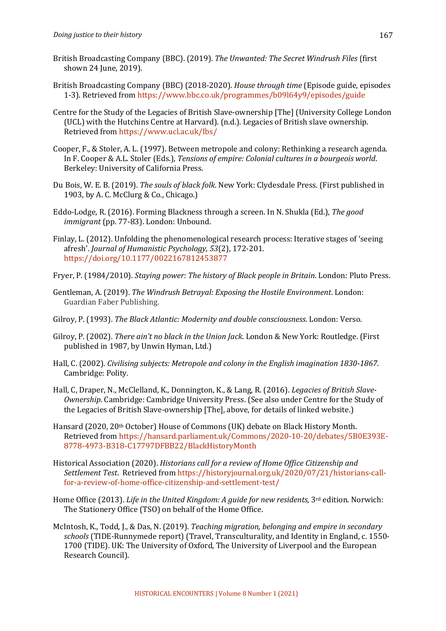- British Broadcasting Company (BBC). (2019). *The Unwanted: The Secret Windrush Files* (first shown 24 June, 2019).
- British Broadcasting Company (BBC) (2018-2020). *House through time* (Episode guide, episodes 1-3). Retrieved from https://www.bbc.co.uk/programmes/b09l64y9/episodes/guide
- Centre for the Study of the Legacies of British Slave-ownership [The] (University College London (UCL) with the Hutchins Centre at Harvard). (n.d.). Legacies of British slave ownership. Retrieved from https://www.ucl.ac.uk/lbs/
- Cooper, F., & Stoler, A. L. (1997). Between metropole and colony: Rethinking a research agenda. In F. Cooper & A.L. Stoler (Eds.), *Tensions of empire: Colonial cultures in a bourgeois world.* Berkeley: University of California Press.
- Du Bois, W. E. B. (2019). *The souls of black folk*. New York: Clydesdale Press. (First published in 1903, by A. C. McClurg & Co., Chicago.)
- Eddo-Lodge, R. (2016). Forming Blackness through a screen. In N. Shukla (Ed.), *The good immigrant* (pp. 77-83). London: Unbound.
- Finlay, L. (2012). Unfolding the phenomenological research process: Iterative stages of 'seeing afresh'. *Journal of Humanistic Psychology,* 53(2), 172-201. https://doi.org/10.1177/0022167812453877
- Fryer, P. (1984/2010). *Staying power: The history of Black people in Britain*. London: Pluto Press.
- Gentleman, A. (2019). *The Windrush Betrayal: Exposing the Hostile Environment*. London: Guardian Faber Publishing.
- Gilroy, P. (1993). *The Black Atlantic: Modernity and double consciousness*. London: Verso.
- Gilroy, P. (2002). *There ain't no black in the Union Jack*. London & New York: Routledge. (First published in 1987, by Unwin Hyman, Ltd.)
- Hall, C. (2002). *Civilising subjects: Metropole and colony in the English imagination 1830-1867*. Cambridge: Polity.
- Hall, C, Draper, N., McClelland, K., Donnington, K., & Lang, R. (2016). *Legacies of British Slave-Ownership*. Cambridge: Cambridge University Press. (See also under Centre for the Study of the Legacies of British Slave-ownership [The], above, for details of linked website.)
- Hansard  $(2020, 20th$  October) House of Commons  $(UK)$  debate on Black History Month. Retrieved from https://hansard.parliament.uk/Commons/2020-10-20/debates/5B0E393E-8778-4973-B318-C17797DFBB22/BlackHistoryMonth
- Historical Association (2020). *Historians call for a review of Home Office Citizenship and Settlement Test*. Retrieved from https://historyjournal.org.uk/2020/07/21/historians-callfor-a-review-of-home-office-citizenship-and-settlement-test/
- Home Office (2013). *Life in the United Kingdom: A guide for new residents*, 3<sup>rd</sup> edition. Norwich: The Stationery Office (TSO) on behalf of the Home Office.
- McIntosh, K., Todd, J., & Das, N. (2019). *Teaching migration, belonging and empire in secondary* schools (TIDE-Runnymede report) (Travel, Transculturality, and Identity in England, c. 1550-1700 (TIDE). UK: The University of Oxford, The University of Liverpool and the European Research Council).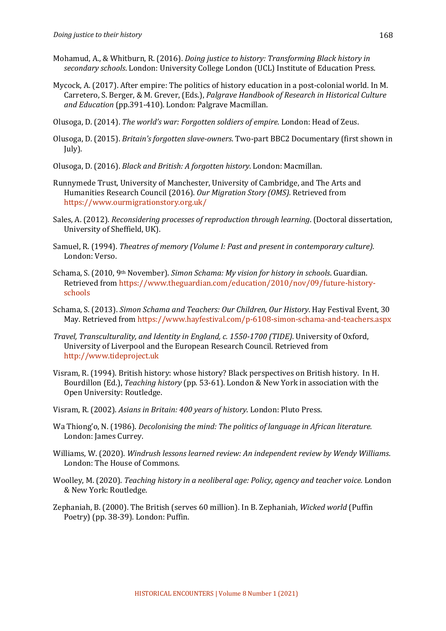- Mohamud, A., & Whitburn, R. (2016). *Doing justice to history: Transforming Black history in* secondary schools. London: University College London (UCL) Institute of Education Press.
- Mycock, A. (2017). After empire: The politics of history education in a post-colonial world. In M. Carretero, S. Berger, & M. Grever, (Eds.), *Palgrave Handbook of Research in Historical Culture* and *Education* (pp.391-410). London: Palgrave Macmillan.
- Olusoga, D. (2014). *The world's war: Forgotten soldiers of empire*. London: Head of Zeus.
- Olusoga, D. (2015). *Britain's forgotten slave-owners*. Two-part BBC2 Documentary (first shown in July).
- Olusoga, D. (2016). *Black and British: A forgotten history*. London: Macmillan.
- Runnymede Trust, University of Manchester, University of Cambridge, and The Arts and Humanities Research Council (2016). Our Migration Story (OMS). Retrieved from https://www.ourmigrationstory.org.uk/
- Sales, A. (2012). *Reconsidering processes of reproduction through learning*. (Doctoral dissertation, University of Sheffield, UK).
- Samuel, R. (1994). *Theatres of memory (Volume I: Past and present in contemporary culture).* London: Verso.
- Schama, S. (2010, 9th November). *Simon Schama: My vision for history in schools*. Guardian. Retrieved from https://www.theguardian.com/education/2010/nov/09/future-historyschools
- Schama, S. (2013). *Simon Schama and Teachers: Our Children, Our History*. Hay Festival Event, 30 May. Retrieved from https://www.hayfestival.com/p-6108-simon-schama-and-teachers.aspx
- *Travel, Transculturality, and Identity in England, c. 1550-1700 (TIDE).* University of Oxford, University of Liverpool and the European Research Council. Retrieved from http://www.tideproject.uk
- Visram, R. (1994). British history: whose history? Black perspectives on British history. In H. Bourdillon (Ed.), *Teaching history* (pp. 53-61). London & New York in association with the Open University: Routledge.
- Visram, R. (2002). *Asians in Britain: 400 years of history*. London: Pluto Press.
- Wa Thiong'o, N. (1986). *Decolonising the mind: The politics of language in African literature.* London: James Currey.
- Williams, W. (2020). *Windrush lessons learned review: An independent review by Wendy Williams.* London: The House of Commons.
- Woolley, M. (2020). *Teaching history in a neoliberal age: Policy, agency and teacher voice.* London & New York: Routledge.
- Zephaniah, B. (2000). The British (serves 60 million). In B. Zephaniah, *Wicked world* (Puffin Poetry) (pp. 38-39). London: Puffin.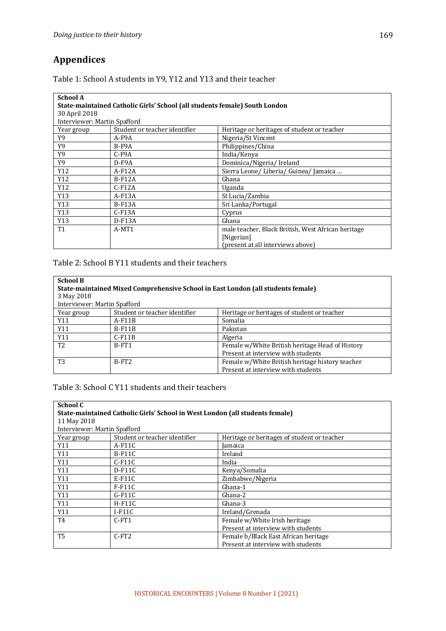# **Appendices**

Table 1: School A students in Y9, Y12 and Y13 and their teacher

| <b>School A</b>                                                            |                               |                                                    |
|----------------------------------------------------------------------------|-------------------------------|----------------------------------------------------|
| State-maintained Catholic Girls' School (all students female) South London |                               |                                                    |
| 30 April 2018                                                              |                               |                                                    |
| Interviewer: Martin Spafford                                               |                               |                                                    |
| Year group                                                                 | Student or teacher identifier | Heritage or heritages of student or teacher        |
| Y9                                                                         | A-F9A                         | Nigeria/St Vincent                                 |
| Y9                                                                         | $B-F9A$                       | Philippines/China                                  |
| Y9                                                                         | $C-F9A$                       | India/Kenya                                        |
| Y9                                                                         | $D-F9A$                       | Dominica/Nigeria/Ireland                           |
| Y12                                                                        | $A-F12A$                      | Sierra Leone/ Liberia/ Guinea/ Jamaica             |
| Y12                                                                        | $B-F12A$                      | Ghana                                              |
| Y12                                                                        | $C-F12A$                      | Uganda                                             |
| Y13                                                                        | $A-F13A$                      | St Lucia/Zambia                                    |
| Y13                                                                        | $B-F13A$                      | Sri Lanka/Portugal                                 |
| Y13                                                                        | $C$ -F <sub>13</sub> A        | Cyprus                                             |
| Y13                                                                        | $D-F13A$                      | Ghana                                              |
| <b>T1</b>                                                                  | A-MT1                         | male teacher, Black British, West African heritage |
|                                                                            |                               | [Nigerian]                                         |
|                                                                            |                               | present at all interviews above)                   |

Table 2: School B Y11 students and their teachers

| <b>School B</b>                                                                  |                               |                                                 |
|----------------------------------------------------------------------------------|-------------------------------|-------------------------------------------------|
| State-maintained Mixed Comprehensive School in East London (all students female) |                               |                                                 |
| 3 May 2018                                                                       |                               |                                                 |
| Interviewer: Martin Spafford                                                     |                               |                                                 |
| Year group                                                                       | Student or teacher identifier | Heritage or heritages of student or teacher     |
| Y11                                                                              | $A-F11B$                      | Somalia                                         |
| Y11                                                                              | $B-F11B$                      | Pakistan                                        |
| Y11                                                                              | $C$ -F11B                     | Algeria                                         |
| T <sub>2</sub>                                                                   | B-FT1                         | Female w/White British heritage Head of History |
|                                                                                  |                               | Present at interview with students              |
| T <sub>3</sub>                                                                   | $B-FT2$                       | Female w/White British heritage history teacher |
|                                                                                  |                               | Present at interview with students              |

Table 3: School C Y11 students and their teachers

| School C                                                                     |                               |                                             |  |
|------------------------------------------------------------------------------|-------------------------------|---------------------------------------------|--|
| State-maintained Catholic Girls' School in West London (all students female) |                               |                                             |  |
| 11 May 2018                                                                  |                               |                                             |  |
|                                                                              | Interviewer: Martin Spafford  |                                             |  |
| Year group                                                                   | Student or teacher identifier | Heritage or heritages of student or teacher |  |
| Y11                                                                          | $A-F11C$                      | Jamaica                                     |  |
| Y11                                                                          | $B-F11C$                      | Ireland                                     |  |
| Y11                                                                          | $C-F11C$                      | India                                       |  |
| Y11                                                                          | $D-F11C$                      | Kenya/Somalia                               |  |
| Y11                                                                          | $E-F11C$                      | Zimbabwe/Nigeria                            |  |
| Y11                                                                          | $F-F11C$                      | Ghana-1                                     |  |
| Y11                                                                          | $G-F11C$                      | Ghana-2                                     |  |
| Y11                                                                          | $H-F11C$                      | Ghana-3                                     |  |
| Y11                                                                          | $I-F11C$                      | Ireland/Grenada                             |  |
| T <sub>4</sub>                                                               | $C$ -FT1                      | Female w/White Irish heritage               |  |
|                                                                              |                               | Present at interview with students          |  |
| T <sub>5</sub>                                                               | $C$ -FT2                      | Female b/Black East African heritage        |  |
|                                                                              |                               | Present at interview with students          |  |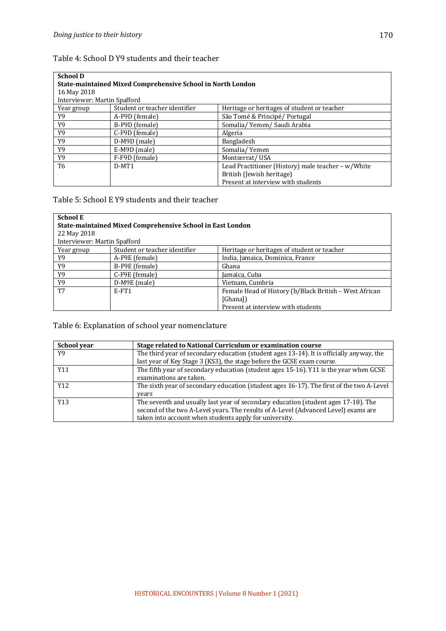### Table 4: School D Y9 students and their teacher

| <b>School D</b><br><b>State-maintained Mixed Comprehensive School in North London</b> |                               |                                                    |  |
|---------------------------------------------------------------------------------------|-------------------------------|----------------------------------------------------|--|
|                                                                                       | 16 May 2018                   |                                                    |  |
| Interviewer: Martin Spafford                                                          |                               |                                                    |  |
| Year group                                                                            | Student or teacher identifier | Heritage or heritages of student or teacher        |  |
| Y9                                                                                    | A-F9D (female)                | São Tomé & Principé/Portugal                       |  |
| Y9                                                                                    | B-F9D (female)                | Somalia/ Yemen/ Saudi Arabia                       |  |
| Y9                                                                                    | C-F9D (female)                | Algeria                                            |  |
| Y9                                                                                    | D-M9D (male)                  | Bangladesh                                         |  |
| Y9                                                                                    | E-M9D (male)                  | Somalia/Yemen                                      |  |
| Y9                                                                                    | F-F9D (female)                | Montserrat/USA                                     |  |
| T <sub>6</sub>                                                                        | $D-MT1$                       | Lead Practitioner (History) male teacher - w/White |  |
|                                                                                       |                               | British (Jewish heritage)                          |  |
|                                                                                       |                               | Present at interview with students                 |  |

### Table 5: School E Y9 students and their teacher

| <b>School E</b>                                            |                               |                                                        |
|------------------------------------------------------------|-------------------------------|--------------------------------------------------------|
| State-maintained Mixed Comprehensive School in East London |                               |                                                        |
| 22 May 2018                                                |                               |                                                        |
| Interviewer: Martin Spafford                               |                               |                                                        |
| Year group                                                 | Student or teacher identifier | Heritage or heritages of student or teacher            |
| Y9                                                         | A-F9E (female)                | India, Jamaica, Dominica, France                       |
| Y9                                                         | B-F9E (female)                | Ghana                                                  |
| Y9                                                         | C-F9E (female)                | Jamaica, Cuba                                          |
| Y9                                                         | D-M9E (male)                  | Vietnam, Cumbria                                       |
| T7                                                         | E-FT1                         | Female Head of History (b/Black British - West African |
|                                                            |                               | [Ghana])                                               |
|                                                            |                               | Present at interview with students                     |

## Table 6: Explanation of school year nomenclature

| School year | Stage related to National Curriculum or examination course                               |
|-------------|------------------------------------------------------------------------------------------|
| Y9          | The third year of secondary education (student ages 13-14). It is officially anyway, the |
|             | last year of Key Stage 3 (KS3), the stage before the GCSE exam course.                   |
| Y11         | The fifth year of secondary education (student ages 15-16). Y11 is the year when GCSE    |
|             | examinations are taken.                                                                  |
| Y12         | The sixth year of secondary education (student ages 16-17). The first of the two A-Level |
|             | vears                                                                                    |
| Y13         | The seventh and usually last year of secondary education (student ages 17-18). The       |
|             | second of the two A-Level years. The results of A-Level (Advanced Level) exams are       |
|             | taken into account when students apply for university.                                   |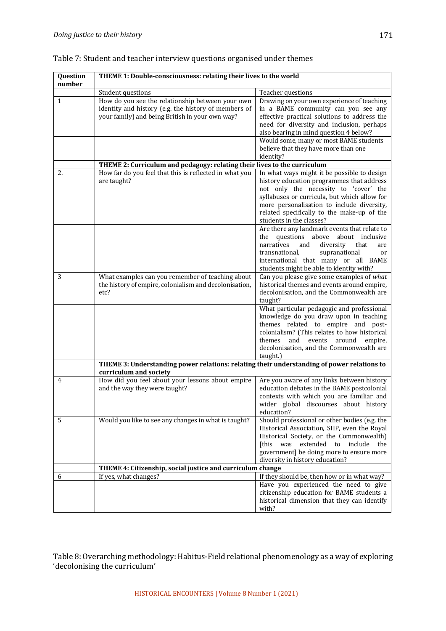| Question<br>number | THEME 1: Double-consciousness: relating their lives to the world                                                                                            |                                                                                                                                                                                                                                                                                                                         |
|--------------------|-------------------------------------------------------------------------------------------------------------------------------------------------------------|-------------------------------------------------------------------------------------------------------------------------------------------------------------------------------------------------------------------------------------------------------------------------------------------------------------------------|
|                    | Student questions                                                                                                                                           | Teacher questions                                                                                                                                                                                                                                                                                                       |
| $\mathbf{1}$       | How do you see the relationship between your own<br>identity and history (e.g. the history of members of<br>your family) and being British in your own way? | Drawing on your own experience of teaching<br>in a BAME community can you see any<br>effective practical solutions to address the<br>need for diversity and inclusion, perhaps<br>also bearing in mind question 4 below?<br>Would some, many or most BAME students<br>believe that they have more than one<br>identity? |
|                    | THEME 2: Curriculum and pedagogy: relating their lives to the curriculum                                                                                    |                                                                                                                                                                                                                                                                                                                         |
| 2.                 | How far do you feel that this is reflected in what you<br>are taught?                                                                                       | In what ways might it be possible to design<br>history education programmes that address<br>not only the necessity to 'cover' the<br>syllabuses or curricula, but which allow for<br>more personalisation to include diversity,<br>related specifically to the make-up of the<br>students in the classes?               |
|                    |                                                                                                                                                             | Are there any landmark events that relate to<br>the<br>questions<br>above<br>about inclusive<br>narratives<br>diversity<br>and<br>that<br>are<br>transnational,<br>supranational<br>or<br>international that many or all BAME<br>students might be able to identity with?                                               |
| 3                  | What examples can you remember of teaching about<br>the history of empire, colonialism and decolonisation,<br>etc?                                          | Can you please give some examples of what<br>historical themes and events around empire,<br>decolonisation, and the Commonwealth are<br>taught?                                                                                                                                                                         |
|                    |                                                                                                                                                             | What particular pedagogic and professional<br>knowledge do you draw upon in teaching<br>themes related to empire and post-<br>colonialism? (This relates to how historical<br>themes<br>and<br>events<br>around<br>empire,<br>decolonisation, and the Commonwealth are<br>taught.)                                      |
|                    | THEME 3: Understanding power relations: relating their understanding of power relations to<br>curriculum and society                                        |                                                                                                                                                                                                                                                                                                                         |
| 4                  | How did you feel about your lessons about empire<br>and the way they were taught?                                                                           | Are you aware of any links between history<br>education debates in the BAME postcolonial<br>contexts with which you are familiar and<br>wider global discourses about history<br>education?                                                                                                                             |
| 5                  | Would you like to see any changes in what is taught?                                                                                                        | Should professional or other bodies (e.g. the<br>Historical Association, SHP, even the Royal<br>Historical Society, or the Commonwealth)<br>was extended to include<br>[this<br>the<br>government] be doing more to ensure more                                                                                         |

Table 7: Student and teacher interview questions organised under themes

diversity in history education? **THEME 4: Citizenship, social justice and curriculum change** 6 If yes, what changes? If they should be, then how or in what way? Have you experienced the need to give citizenship education for BAME students a historical dimension that they can identify with?

Table 8: Overarching methodology: Habitus-Field relational phenomenology as a way of exploring 'decolonising the curriculum'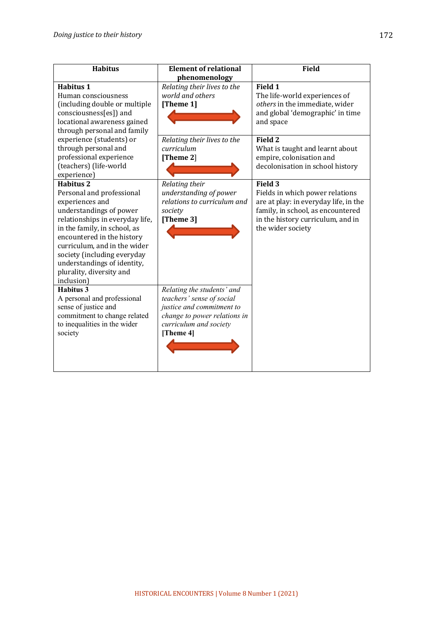| <b>Habitus</b>                                                                                                                                                                                                                                                                                                                                      | <b>Element of relational</b>                                                                                                                                | <b>Field</b>                                                                                                                                                                                                                              |
|-----------------------------------------------------------------------------------------------------------------------------------------------------------------------------------------------------------------------------------------------------------------------------------------------------------------------------------------------------|-------------------------------------------------------------------------------------------------------------------------------------------------------------|-------------------------------------------------------------------------------------------------------------------------------------------------------------------------------------------------------------------------------------------|
| <b>Habitus 1</b><br>Human consciousness<br>(including double or multiple<br>consciousness[es]) and<br>locational awareness gained<br>through personal and family<br>experience (students) or<br>through personal and<br>professional experience<br>(teachers) (life-world                                                                           | phenomenology<br>Relating their lives to the<br>world and others<br>[Theme 1]<br>Relating their lives to the<br>curriculum<br>[Theme 2]                     | Field 1<br>The life-world experiences of<br>others in the immediate, wider<br>and global 'demographic' in time<br>and space<br>Field 2<br>What is taught and learnt about<br>empire, colonisation and<br>decolonisation in school history |
| experience)<br><b>Habitus 2</b><br>Personal and professional<br>experiences and<br>understandings of power<br>relationships in everyday life,<br>in the family, in school, as<br>encountered in the history<br>curriculum, and in the wider<br>society (including everyday<br>understandings of identity,<br>plurality, diversity and<br>inclusion) | Relating their<br>understanding of power<br>relations to curriculum and<br>society<br>[Theme 3]                                                             | Field 3<br>Fields in which power relations<br>are at play: in everyday life, in the<br>family, in school, as encountered<br>in the history curriculum, and in<br>the wider society                                                        |
| Habitus 3<br>A personal and professional<br>sense of justice and<br>commitment to change related<br>to inequalities in the wider<br>society                                                                                                                                                                                                         | Relating the students' and<br>teachers' sense of social<br>justice and commitment to<br>change to power relations in<br>curriculum and society<br>[Theme 4] |                                                                                                                                                                                                                                           |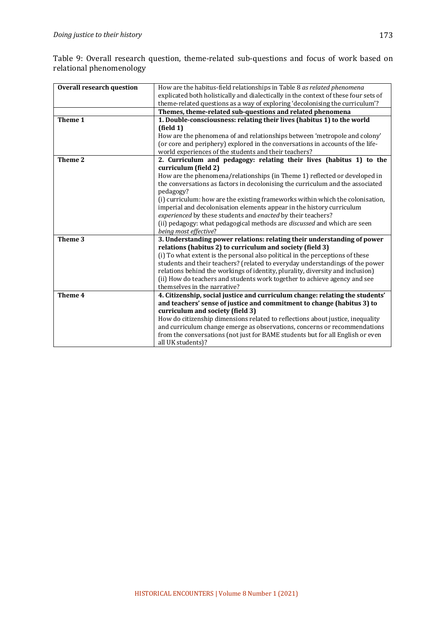Table 9: Overall research question, theme-related sub-questions and focus of work based on relational phenomenology

| <b>Overall research question</b> | How are the habitus-field relationships in Table 8 as related phenomena             |  |
|----------------------------------|-------------------------------------------------------------------------------------|--|
|                                  | explicated both holistically and dialectically in the context of these four sets of |  |
|                                  | theme-related questions as a way of exploring 'decolonising the curriculum'?        |  |
|                                  | Themes, theme-related sub-questions and related phenomena                           |  |
| Theme 1                          | 1. Double-consciousness: relating their lives (habitus 1) to the world              |  |
|                                  | $_{\text{field 1}}$                                                                 |  |
|                                  | How are the phenomena of and relationships between 'metropole and colony'           |  |
|                                  | (or core and periphery) explored in the conversations in accounts of the life-      |  |
|                                  | world experiences of the students and their teachers?                               |  |
| Theme 2                          | 2. Curriculum and pedagogy: relating their lives (habitus 1) to the                 |  |
|                                  | curriculum (field 2)                                                                |  |
|                                  | How are the phenomena/relationships (in Theme 1) reflected or developed in          |  |
|                                  | the conversations as factors in decolonising the curriculum and the associated      |  |
|                                  | pedagogy?                                                                           |  |
|                                  | (i) curriculum: how are the existing frameworks within which the colonisation,      |  |
|                                  | imperial and decolonisation elements appear in the history curriculum               |  |
|                                  | experienced by these students and enacted by their teachers?                        |  |
|                                  | (ii) pedagogy: what pedagogical methods are discussed and which are seen            |  |
|                                  | being most effective?                                                               |  |
| Theme 3                          | 3. Understanding power relations: relating their understanding of power             |  |
|                                  | relations (habitus 2) to curriculum and society (field 3)                           |  |
|                                  | (i) To what extent is the personal also political in the perceptions of these       |  |
|                                  | students and their teachers? (related to everyday understandings of the power       |  |
|                                  | relations behind the workings of identity, plurality, diversity and inclusion)      |  |
|                                  | (ii) How do teachers and students work together to achieve agency and see           |  |
|                                  | themselves in the narrative?                                                        |  |
| Theme 4                          | 4. Citizenship, social justice and curriculum change: relating the students'        |  |
|                                  | and teachers' sense of justice and commitment to change (habitus 3) to              |  |
|                                  | curriculum and society (field 3)                                                    |  |
|                                  | How do citizenship dimensions related to reflections about justice, inequality      |  |
|                                  | and curriculum change emerge as observations, concerns or recommendations           |  |
|                                  | from the conversations (not just for BAME students but for all English or even      |  |
|                                  | all UK students)?                                                                   |  |